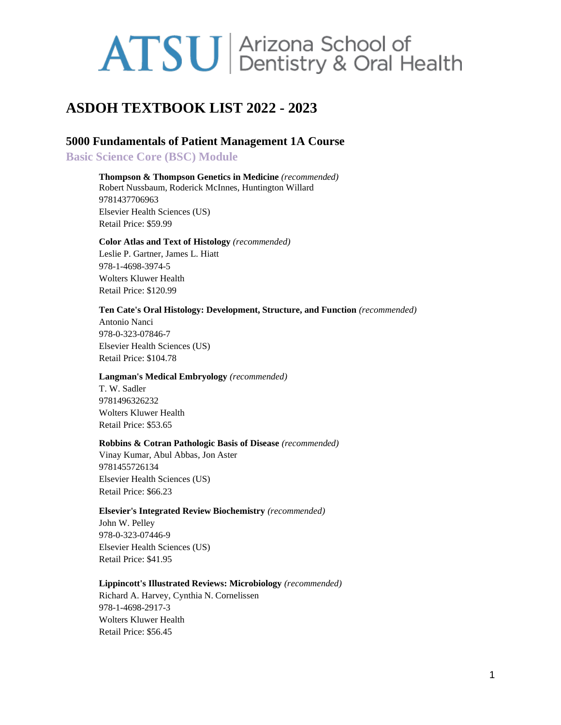# **ASDOH TEXTBOOK LIST 2022 - 2023**

# **5000 Fundamentals of Patient Management 1A Course**

**Basic Science Core (BSC) Module**

**Thompson & Thompson Genetics in Medicine** *(recommended)* Robert Nussbaum, Roderick McInnes, Huntington Willard 9781437706963 Elsevier Health Sciences (US) Retail Price: \$59.99

# **Color Atlas and Text of Histology** *(recommended)* Leslie P. Gartner, James L. Hiatt

978-1-4698-3974-5 Wolters Kluwer Health Retail Price: \$120.99

#### **Ten Cate's Oral Histology: Development, Structure, and Function** *(recommended)*

Antonio Nanci 978-0-323-07846-7 Elsevier Health Sciences (US) Retail Price: \$104.78

### **Langman's Medical Embryology** *(recommended)*

T. W. Sadler 9781496326232 Wolters Kluwer Health Retail Price: \$53.65

### **Robbins & Cotran Pathologic Basis of Disease** *(recommended)*

Vinay Kumar, Abul Abbas, Jon Aster 9781455726134 Elsevier Health Sciences (US) Retail Price: \$66.23

### **Elsevier's Integrated Review Biochemistry** *(recommended)*

John W. Pelley 978-0-323-07446-9 Elsevier Health Sciences (US) Retail Price: \$41.95

### **Lippincott's Illustrated Reviews: Microbiology** *(recommended)*

Richard A. Harvey, Cynthia N. Cornelissen 978-1-4698-2917-3 Wolters Kluwer Health Retail Price: \$56.45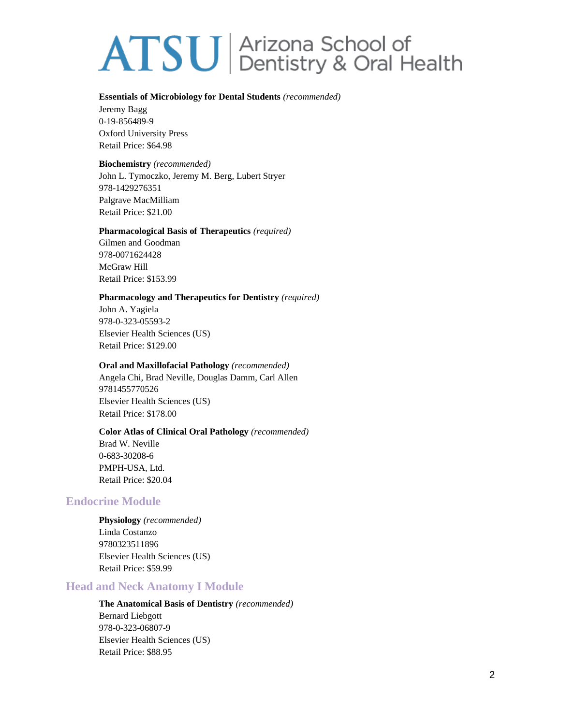#### **Essentials of Microbiology for Dental Students** *(recommended)*

Jeremy Bagg 0-19-856489-9 Oxford University Press Retail Price: \$64.98

## **Biochemistry** *(recommended)*

John L. Tymoczko, Jeremy M. Berg, Lubert Stryer 978-1429276351 Palgrave MacMilliam Retail Price: \$21.00

### **Pharmacological Basis of Therapeutics** *(required)*

Gilmen and Goodman 978-0071624428 McGraw Hill Retail Price: \$153.99

## **Pharmacology and Therapeutics for Dentistry** *(required)*

John A. Yagiela 978-0-323-05593-2 Elsevier Health Sciences (US) Retail Price: \$129.00

## **Oral and Maxillofacial Pathology** *(recommended)*

Angela Chi, Brad Neville, Douglas Damm, Carl Allen 9781455770526 Elsevier Health Sciences (US) Retail Price: \$178.00

### **Color Atlas of Clinical Oral Pathology** *(recommended)*

Brad W. Neville 0-683-30208-6 PMPH-USA, Ltd. Retail Price: \$20.04

# **Endocrine Module**

**Physiology** *(recommended)* Linda Costanzo 9780323511896 Elsevier Health Sciences (US) Retail Price: \$59.99

# **Head and Neck Anatomy I Module**

**The Anatomical Basis of Dentistry** *(recommended)* Bernard Liebgott 978-0-323-06807-9 Elsevier Health Sciences (US) Retail Price: \$88.95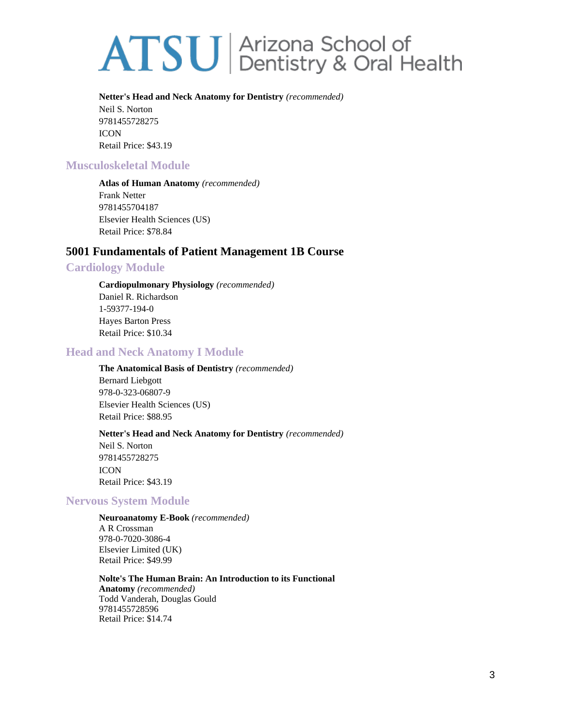#### **Netter's Head and Neck Anatomy for Dentistry** *(recommended)*

Neil S. Norton 9781455728275 ICON Retail Price: \$43.19

# **Musculoskeletal Module**

**Atlas of Human Anatomy** *(recommended)* Frank Netter 9781455704187 Elsevier Health Sciences (US) Retail Price: \$78.84

# **5001 Fundamentals of Patient Management 1B Course**

# **Cardiology Module**

**Cardiopulmonary Physiology** *(recommended)* Daniel R. Richardson 1-59377-194-0 Hayes Barton Press Retail Price: \$10.34

# **Head and Neck Anatomy I Module**

**The Anatomical Basis of Dentistry** *(recommended)* Bernard Liebgott 978-0-323-06807-9 Elsevier Health Sciences (US) Retail Price: \$88.95

### **Netter's Head and Neck Anatomy for Dentistry** *(recommended)*

Neil S. Norton 9781455728275 **ICON** Retail Price: \$43.19

# **Nervous System Module**

**Neuroanatomy E-Book** *(recommended)* A R Crossman 978-0-7020-3086-4 Elsevier Limited (UK) Retail Price: \$49.99

**Nolte's The Human Brain: An Introduction to its Functional Anatomy** *(recommended)* Todd Vanderah, Douglas Gould 9781455728596 Retail Price: \$14.74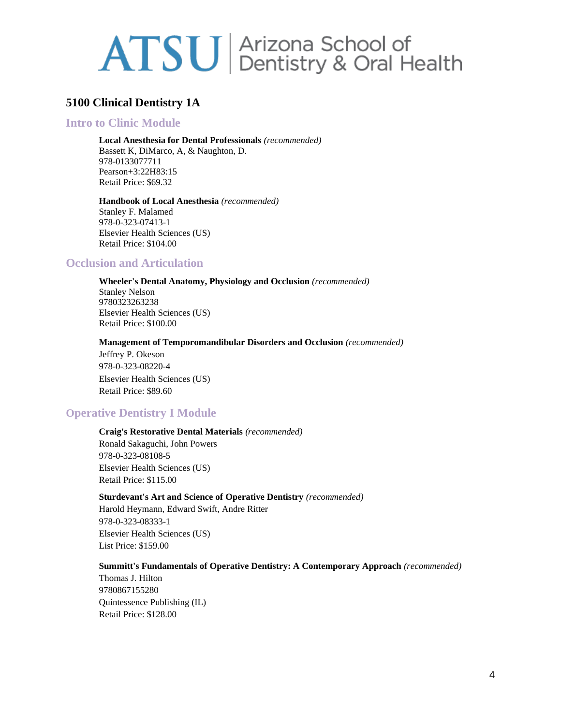# **5100 Clinical Dentistry 1A**

# **Intro to Clinic Module**

**Local Anesthesia for Dental Professionals** *(recommended)* Bassett K, DiMarco, A, & Naughton, D. 978-0133077711

Pearson+3:22H83:15 Retail Price: \$69.32

**Handbook of Local Anesthesia** *(recommended)* Stanley F. Malamed 978-0-323-07413-1 Elsevier Health Sciences (US) Retail Price: \$104.00

# **Occlusion and Articulation**

**Wheeler's Dental Anatomy, Physiology and Occlusion** *(recommended)* Stanley Nelson 9780323263238 Elsevier Health Sciences (US) Retail Price: \$100.00

**Management of Temporomandibular Disorders and Occlusion** *(recommended)*

Jeffrey P. Okeson 978-0-323-08220-4 Elsevier Health Sciences (US) Retail Price: \$89.60

# **Operative Dentistry I Module**

#### **Craig's Restorative Dental Materials** *(recommended)*

Ronald Sakaguchi, John Powers 978-0-323-08108-5 Elsevier Health Sciences (US) Retail Price: \$115.00

#### **Sturdevant's Art and Science of Operative Dentistry** *(recommended)*

Harold Heymann, Edward Swift, Andre Ritter 978-0-323-08333-1 Elsevier Health Sciences (US) List Price: \$159.00

## **Summitt's Fundamentals of Operative Dentistry: A Contemporary Approach** *(recommended)*

Thomas J. Hilton 9780867155280 Quintessence Publishing (IL) Retail Price: \$128.00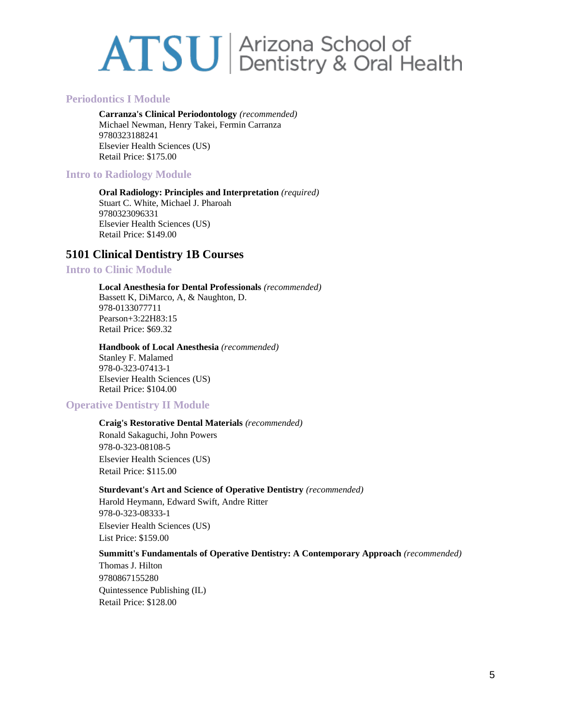# **Periodontics I Module**

**Carranza's Clinical Periodontology** *(recommended)* Michael Newman, Henry Takei, Fermin Carranza 9780323188241 Elsevier Health Sciences (US) Retail Price: \$175.00

# **Intro to Radiology Module**

**Oral Radiology: Principles and Interpretation** *(required)* Stuart C. White, Michael J. Pharoah 9780323096331 Elsevier Health Sciences (US) Retail Price: \$149.00

# **5101 Clinical Dentistry 1B Courses**

## **Intro to Clinic Module**

### **Local Anesthesia for Dental Professionals** *(recommended)*

Bassett K, DiMarco, A, & Naughton, D. 978-0133077711 Pearson+3:22H83:15 Retail Price: \$69.32

# **Handbook of Local Anesthesia** *(recommended)*

Stanley F. Malamed 978-0-323-07413-1 Elsevier Health Sciences (US) Retail Price: \$104.00

# **Operative Dentistry II Module**

# **Craig's Restorative Dental Materials** *(recommended)*

Ronald Sakaguchi, John Powers 978-0-323-08108-5 Elsevier Health Sciences (US) Retail Price: \$115.00

### **Sturdevant's Art and Science of Operative Dentistry** *(recommended)*

Harold Heymann, Edward Swift, Andre Ritter 978-0-323-08333-1 Elsevier Health Sciences (US) List Price: \$159.00

### **Summitt's Fundamentals of Operative Dentistry: A Contemporary Approach** *(recommended)*

Thomas J. Hilton 9780867155280 Quintessence Publishing (IL) Retail Price: \$128.00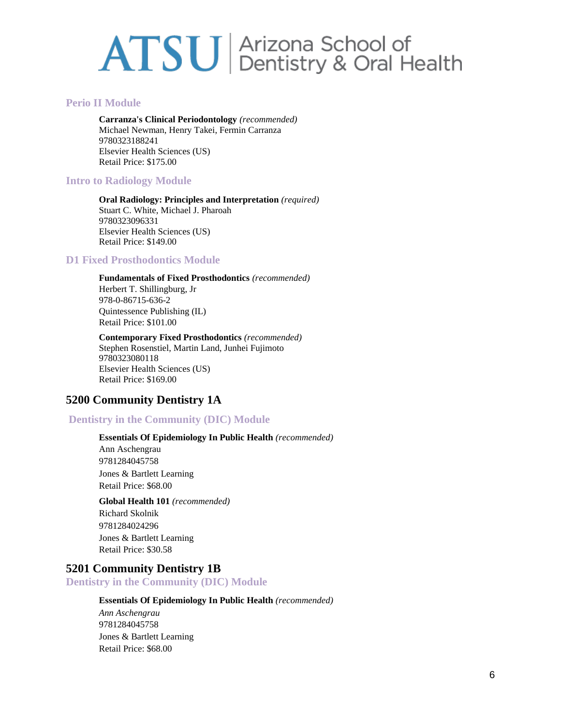# **Perio II Module**

**Carranza's Clinical Periodontology** *(recommended)* Michael Newman, Henry Takei, Fermin Carranza 9780323188241 Elsevier Health Sciences (US) Retail Price: \$175.00

# **Intro to Radiology Module**

#### **Oral Radiology: Principles and Interpretation** *(required)* Stuart C. White, Michael J. Pharoah 9780323096331 Elsevier Health Sciences (US) Retail Price: \$149.00

# **D1 Fixed Prosthodontics Module**

## **Fundamentals of Fixed Prosthodontics** *(recommended)*

Herbert T. Shillingburg, Jr 978-0-86715-636-2 Quintessence Publishing (IL) Retail Price: \$101.00

#### **Contemporary Fixed Prosthodontics** *(recommended)* Stephen Rosenstiel, Martin Land, Junhei Fujimoto 9780323080118 Elsevier Health Sciences (US) Retail Price: \$169.00

# **5200 Community Dentistry 1A**

# **Dentistry in the Community (DIC) Module**

# **Essentials Of Epidemiology In Public Health** *(recommended)*

Ann Aschengrau 9781284045758 Jones & Bartlett Learning Retail Price: \$68.00

**Global Health 101** *(recommended)* Richard Skolnik 9781284024296 Jones & Bartlett Learning Retail Price: \$30.58

# **5201 Community Dentistry 1B**

# **Dentistry in the Community (DIC) Module**

## **Essentials Of Epidemiology In Public Health** *(recommended)*

*Ann Aschengrau* 9781284045758 Jones & Bartlett Learning Retail Price: \$68.00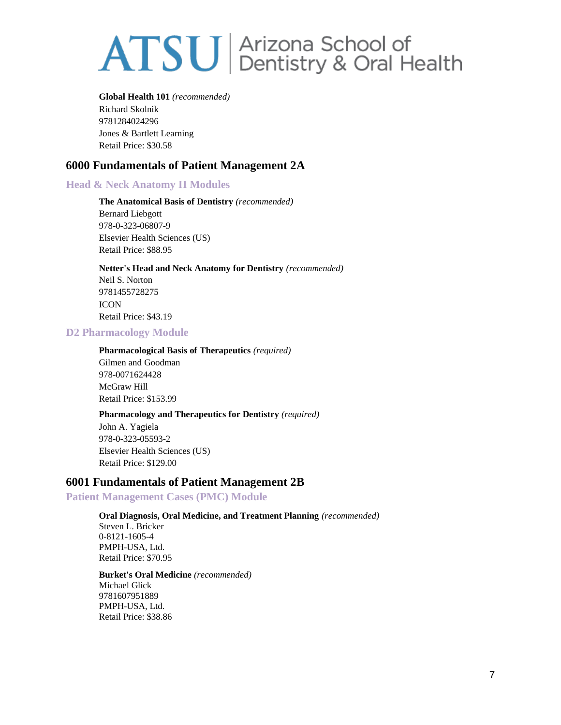#### **Global Health 101** *(recommended)*

Richard Skolnik 9781284024296 Jones & Bartlett Learning Retail Price: \$30.58

# **6000 Fundamentals of Patient Management 2A**

# **Head & Neck Anatomy II Modules**

**The Anatomical Basis of Dentistry** *(recommended)* Bernard Liebgott 978-0-323-06807-9 Elsevier Health Sciences (US) Retail Price: \$88.95

# **Netter's Head and Neck Anatomy for Dentistry** *(recommended)*

Neil S. Norton 9781455728275 **ICON** Retail Price: \$43.19

## **D2 Pharmacology Module**

### **Pharmacological Basis of Therapeutics** *(required)*

Gilmen and Goodman 978-0071624428 McGraw Hill Retail Price: \$153.99

# **Pharmacology and Therapeutics for Dentistry** *(required)*

John A. Yagiela 978-0-323-05593-2 Elsevier Health Sciences (US) Retail Price: \$129.00

# **6001 Fundamentals of Patient Management 2B**

# **Patient Management Cases (PMC) Module**

# **Oral Diagnosis, Oral Medicine, and Treatment Planning** *(recommended)*

Steven L. Bricker 0-8121-1605-4 PMPH-USA, Ltd. Retail Price: \$70.95

#### **Burket's Oral Medicine** *(recommended)* Michael Glick 9781607951889 PMPH-USA, Ltd.

Retail Price: \$38.86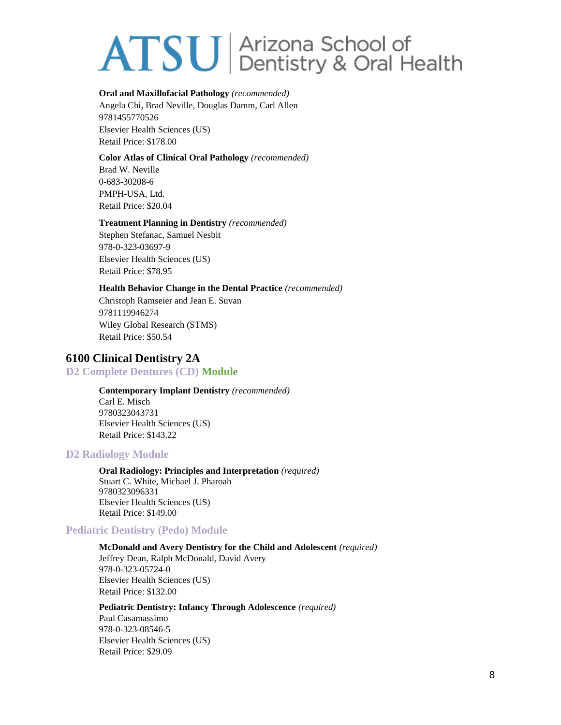#### **Oral and Maxillofacial Pathology** *(recommended)*

Angela Chi, Brad Neville, Douglas Damm, Carl Allen 9781455770526 Elsevier Health Sciences (US) Retail Price: \$178.00

## **Color Atlas of Clinical Oral Pathology** *(recommended)*

Brad W. Neville 0-683-30208-6 PMPH-USA, Ltd. Retail Price: \$20.04

## **Treatment Planning in Dentistry** *(recommended)*

Stephen Stefanac, Samuel Nesbit 978-0-323-03697-9 Elsevier Health Sciences (US) Retail Price: \$78.95

## **Health Behavior Change in the Dental Practice** *(recommended)*

Christoph Ramseier and Jean E. Suvan 9781119946274 Wiley Global Research (STMS) Retail Price: \$50.54

# **6100 Clinical Dentistry 2A**

# **D2 Complete Dentures (CD) Module**

**Contemporary Implant Dentistry** *(recommended)* Carl E. Misch 9780323043731 Elsevier Health Sciences (US) Retail Price: \$143.22

# **D2 Radiology Module**

**Oral Radiology: Principles and Interpretation** *(required)* Stuart C. White, Michael J. Pharoah 9780323096331 Elsevier Health Sciences (US) Retail Price: \$149.00

# **Pediatric Dentistry (Pedo) Module**

### **McDonald and Avery Dentistry for the Child and Adolescent** *(required)*

Jeffrey Dean, Ralph McDonald, David Avery 978-0-323-05724-0 Elsevier Health Sciences (US) Retail Price: \$132.00

**Pediatric Dentistry: Infancy Through Adolescence** *(required)* Paul Casamassimo 978-0-323-08546-5 Elsevier Health Sciences (US) Retail Price: \$29.09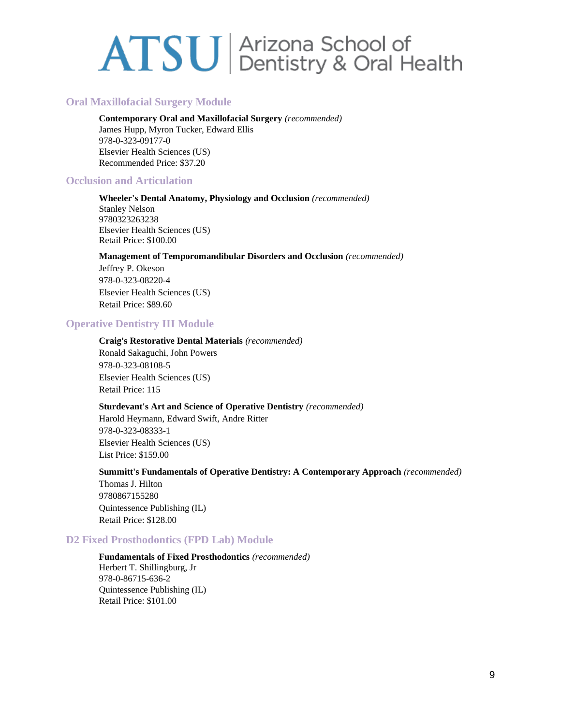# **Oral Maxillofacial Surgery Module**

**Contemporary Oral and Maxillofacial Surgery** *(recommended)* James Hupp, Myron Tucker, Edward Ellis 978-0-323-09177-0 Elsevier Health Sciences (US) Recommended Price: \$37.20

# **Occlusion and Articulation**

**Wheeler's Dental Anatomy, Physiology and Occlusion** *(recommended)* Stanley Nelson 9780323263238 Elsevier Health Sciences (US) Retail Price: \$100.00

#### **Management of Temporomandibular Disorders and Occlusion** *(recommended)*

Jeffrey P. Okeson 978-0-323-08220-4 Elsevier Health Sciences (US) Retail Price: \$89.60

## **Operative Dentistry III Module**

#### **Craig's Restorative Dental Materials** *(recommended)*

Ronald Sakaguchi, John Powers 978-0-323-08108-5 Elsevier Health Sciences (US) Retail Price: 115

### **Sturdevant's Art and Science of Operative Dentistry** *(recommended)*

Harold Heymann, Edward Swift, Andre Ritter 978-0-323-08333-1 Elsevier Health Sciences (US) List Price: \$159.00

#### **Summitt's Fundamentals of Operative Dentistry: A Contemporary Approach** *(recommended)*

Thomas J. Hilton 9780867155280 Quintessence Publishing (IL) Retail Price: \$128.00

## **D2 Fixed Prosthodontics (FPD Lab) Module**

## **Fundamentals of Fixed Prosthodontics** *(recommended)* Herbert T. Shillingburg, Jr 978-0-86715-636-2 Quintessence Publishing (IL) Retail Price: \$101.00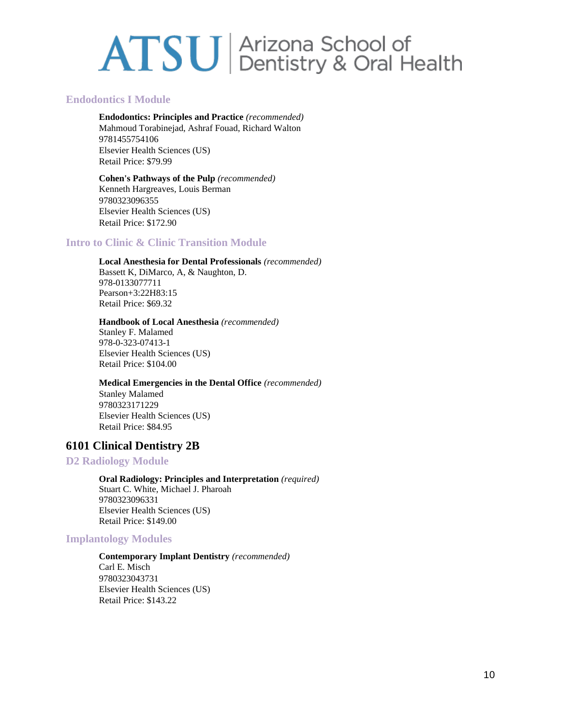# **Endodontics I Module**

**Endodontics: Principles and Practice** *(recommended)* Mahmoud Torabinejad, Ashraf Fouad, Richard Walton 9781455754106 Elsevier Health Sciences (US) Retail Price: \$79.99

### **Cohen's Pathways of the Pulp** *(recommended)*

Kenneth Hargreaves, Louis Berman 9780323096355 Elsevier Health Sciences (US) Retail Price: \$172.90

# **Intro to Clinic & Clinic Transition Module**

## **Local Anesthesia for Dental Professionals** *(recommended)*

Bassett K, DiMarco, A, & Naughton, D. 978-0133077711 Pearson+3:22H83:15 Retail Price: \$69.32

#### **Handbook of Local Anesthesia** *(recommended)*

Stanley F. Malamed 978-0-323-07413-1 Elsevier Health Sciences (US) Retail Price: \$104.00

## **Medical Emergencies in the Dental Office** *(recommended)*

Stanley Malamed 9780323171229 Elsevier Health Sciences (US) Retail Price: \$84.95

# **6101 Clinical Dentistry 2B**

# **D2 Radiology Module**

**Oral Radiology: Principles and Interpretation** *(required)* Stuart C. White, Michael J. Pharoah 9780323096331 Elsevier Health Sciences (US) Retail Price: \$149.00

# **Implantology Modules**

#### **Contemporary Implant Dentistry** *(recommended)*

Carl E. Misch 9780323043731 Elsevier Health Sciences (US) Retail Price: \$143.22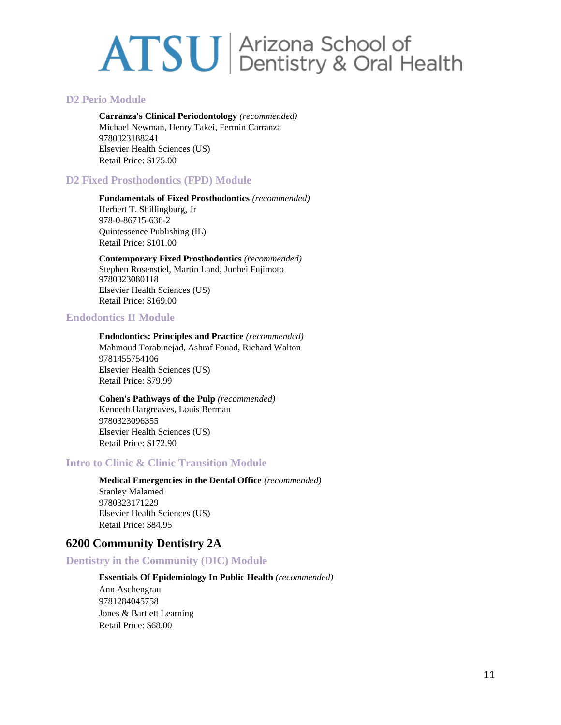## **D2 Perio Module**

**Carranza's Clinical Periodontology** *(recommended)* Michael Newman, Henry Takei, Fermin Carranza 9780323188241 Elsevier Health Sciences (US) Retail Price: \$175.00

# **D2 Fixed Prosthodontics (FPD) Module**

**Fundamentals of Fixed Prosthodontics** *(recommended)* Herbert T. Shillingburg, Jr 978-0-86715-636-2 Quintessence Publishing (IL) Retail Price: \$101.00

**Contemporary Fixed Prosthodontics** *(recommended)* Stephen Rosenstiel, Martin Land, Junhei Fujimoto 9780323080118 Elsevier Health Sciences (US) Retail Price: \$169.00

## **Endodontics II Module**

**Endodontics: Principles and Practice** *(recommended)* Mahmoud Torabinejad, Ashraf Fouad, Richard Walton 9781455754106 Elsevier Health Sciences (US) Retail Price: \$79.99

**Cohen's Pathways of the Pulp** *(recommended)* Kenneth Hargreaves, Louis Berman 9780323096355 Elsevier Health Sciences (US) Retail Price: \$172.90

# **Intro to Clinic & Clinic Transition Module**

**Medical Emergencies in the Dental Office** *(recommended)* Stanley Malamed 9780323171229 Elsevier Health Sciences (US) Retail Price: \$84.95

# **6200 Community Dentistry 2A**

# **Dentistry in the Community (DIC) Module**

#### **Essentials Of Epidemiology In Public Health** *(recommended)*

Ann Aschengrau 9781284045758 Jones & Bartlett Learning Retail Price: \$68.00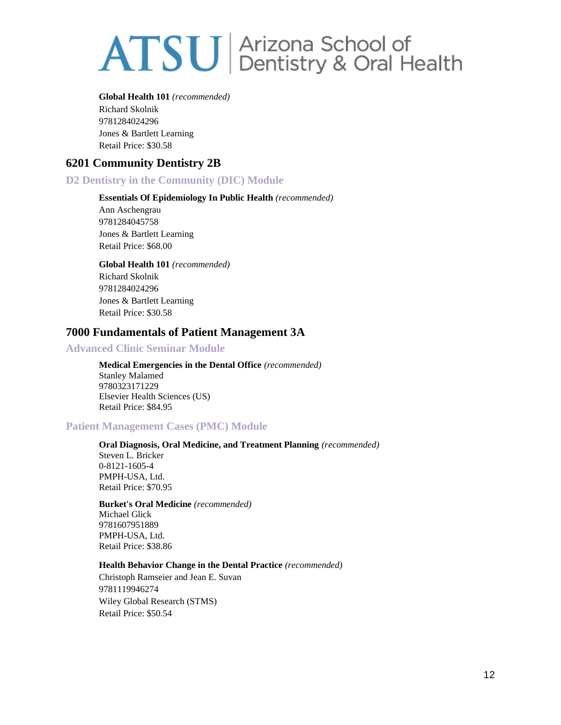#### **Global Health 101** *(recommended)*

Richard Skolnik 9781284024296 Jones & Bartlett Learning Retail Price: \$30.58

# **6201 Community Dentistry 2B**

# **D2 Dentistry in the Community (DIC) Module**

## **Essentials Of Epidemiology In Public Health** *(recommended)*

Ann Aschengrau 9781284045758 Jones & Bartlett Learning Retail Price: \$68.00

**Global Health 101** *(recommended)* Richard Skolnik 9781284024296 Jones & Bartlett Learning Retail Price: \$30.58

# **7000 Fundamentals of Patient Management 3A**

# **Advanced Clinic Seminar Module**

**Medical Emergencies in the Dental Office** *(recommended)* Stanley Malamed 9780323171229 Elsevier Health Sciences (US) Retail Price: \$84.95

# **Patient Management Cases (PMC) Module**

## **Oral Diagnosis, Oral Medicine, and Treatment Planning** *(recommended)* Steven L. Bricker 0-8121-1605-4 PMPH-USA, Ltd. Retail Price: \$70.95

**Burket's Oral Medicine** *(recommended)* Michael Glick 9781607951889 PMPH-USA, Ltd. Retail Price: \$38.86

### **Health Behavior Change in the Dental Practice** *(recommended)*

Christoph Ramseier and Jean E. Suvan 9781119946274 Wiley Global Research (STMS) Retail Price: \$50.54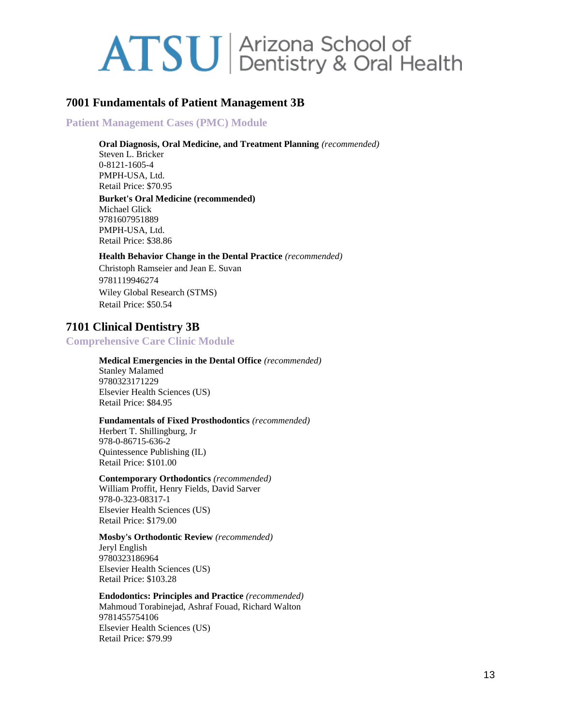# **7001 Fundamentals of Patient Management 3B**

# **Patient Management Cases (PMC) Module**

#### **Oral Diagnosis, Oral Medicine, and Treatment Planning** *(recommended)*

Steven L. Bricker 0-8121-1605-4 PMPH-USA, Ltd. Retail Price: \$70.95

#### **Burket's Oral Medicine (recommended)** Michael Glick

9781607951889 PMPH-USA, Ltd. Retail Price: \$38.86

#### **Health Behavior Change in the Dental Practice** *(recommended)*

Christoph Ramseier and Jean E. Suvan 9781119946274 Wiley Global Research (STMS) Retail Price: \$50.54

# **7101 Clinical Dentistry 3B**

# **Comprehensive Care Clinic Module**

## **Medical Emergencies in the Dental Office** *(recommended)*

Stanley Malamed 9780323171229 Elsevier Health Sciences (US) Retail Price: \$84.95

### **Fundamentals of Fixed Prosthodontics** *(recommended)*

Herbert T. Shillingburg, Jr 978-0-86715-636-2 Quintessence Publishing (IL) Retail Price: \$101.00

### **Contemporary Orthodontics** *(recommended)*

William Proffit, Henry Fields, David Sarver 978-0-323-08317-1 Elsevier Health Sciences (US) Retail Price: \$179.00

### **Mosby's Orthodontic Review** *(recommended)*

Jeryl English 9780323186964 Elsevier Health Sciences (US) Retail Price: \$103.28

#### **Endodontics: Principles and Practice** *(recommended)* Mahmoud Torabinejad, Ashraf Fouad, Richard Walton 9781455754106 Elsevier Health Sciences (US) Retail Price: \$79.99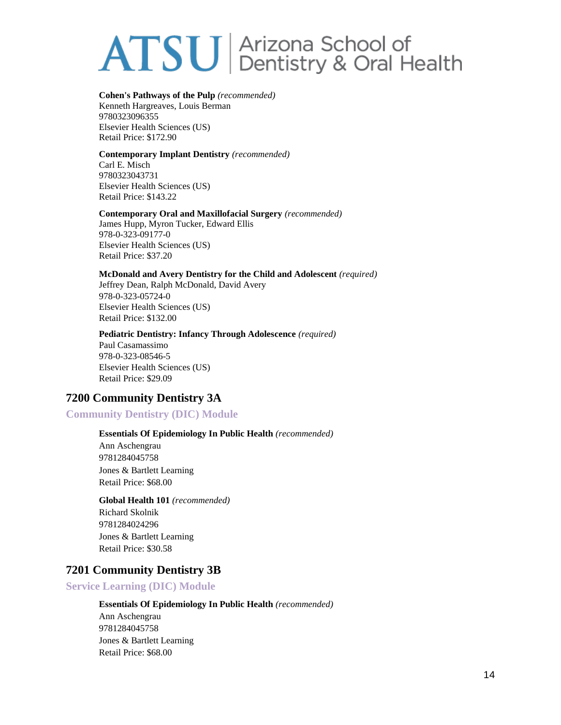## **Cohen's Pathways of the Pulp** *(recommended)*

Kenneth Hargreaves, Louis Berman 9780323096355 Elsevier Health Sciences (US) Retail Price: \$172.90

#### **Contemporary Implant Dentistry** *(recommended)*

Carl E. Misch 9780323043731 Elsevier Health Sciences (US) Retail Price: \$143.22

#### **Contemporary Oral and Maxillofacial Surgery** *(recommended)*

James Hupp, Myron Tucker, Edward Ellis 978-0-323-09177-0 Elsevier Health Sciences (US) Retail Price: \$37.20

### **McDonald and Avery Dentistry for the Child and Adolescent** *(required)*

Jeffrey Dean, Ralph McDonald, David Avery 978-0-323-05724-0 Elsevier Health Sciences (US) Retail Price: \$132.00

#### **Pediatric Dentistry: Infancy Through Adolescence** *(required)*

Paul Casamassimo 978-0-323-08546-5 Elsevier Health Sciences (US) Retail Price: \$29.09

# **7200 Community Dentistry 3A**

# **Community Dentistry (DIC) Module**

## **Essentials Of Epidemiology In Public Health** *(recommended)*

Ann Aschengrau 9781284045758 Jones & Bartlett Learning Retail Price: \$68.00

# **Global Health 101** *(recommended)* Richard Skolnik 9781284024296 Jones & Bartlett Learning Retail Price: \$30.58

# **7201 Community Dentistry 3B**

# **Service Learning (DIC) Module**

# **Essentials Of Epidemiology In Public Health** *(recommended)*

Ann Aschengrau 9781284045758 Jones & Bartlett Learning Retail Price: \$68.00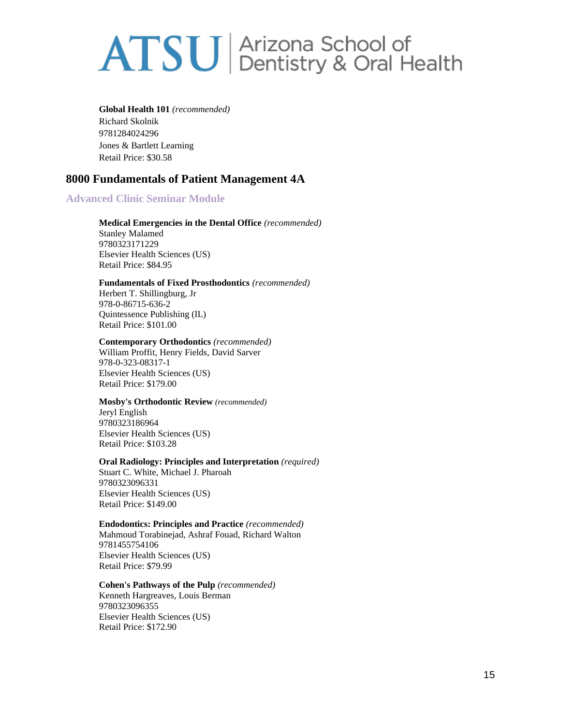**Global Health 101** *(recommended)* Richard Skolnik 9781284024296 Jones & Bartlett Learning Retail Price: \$30.58

# **8000 Fundamentals of Patient Management 4A**

# **Advanced Clinic Seminar Module**

**Medical Emergencies in the Dental Office** *(recommended)* Stanley Malamed 9780323171229 Elsevier Health Sciences (US) Retail Price: \$84.95

#### **Fundamentals of Fixed Prosthodontics** *(recommended)*

Herbert T. Shillingburg, Jr 978-0-86715-636-2 Quintessence Publishing (IL) Retail Price: \$101.00

#### **Contemporary Orthodontics** *(recommended)*

William Proffit, Henry Fields, David Sarver 978-0-323-08317-1 Elsevier Health Sciences (US) Retail Price: \$179.00

#### **Mosby's Orthodontic Review** *(recommended)*

Jeryl English 9780323186964 Elsevier Health Sciences (US) Retail Price: \$103.28

#### **Oral Radiology: Principles and Interpretation** *(required)*

Stuart C. White, Michael J. Pharoah 9780323096331 Elsevier Health Sciences (US) Retail Price: \$149.00

### **Endodontics: Principles and Practice** *(recommended)*

Mahmoud Torabinejad, Ashraf Fouad, Richard Walton 9781455754106 Elsevier Health Sciences (US) Retail Price: \$79.99

#### **Cohen's Pathways of the Pulp** *(recommended)*

Kenneth Hargreaves, Louis Berman 9780323096355 Elsevier Health Sciences (US) Retail Price: \$172.90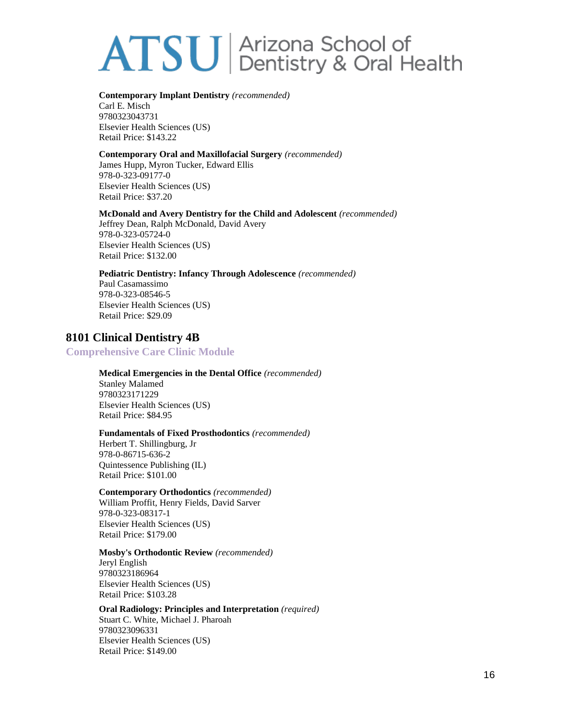#### **Contemporary Implant Dentistry** *(recommended)*

Carl E. Misch 9780323043731 Elsevier Health Sciences (US) Retail Price: \$143.22

#### **Contemporary Oral and Maxillofacial Surgery** *(recommended)*

James Hupp, Myron Tucker, Edward Ellis 978-0-323-09177-0 Elsevier Health Sciences (US) Retail Price: \$37.20

#### **McDonald and Avery Dentistry for the Child and Adolescent** *(recommended)*

Jeffrey Dean, Ralph McDonald, David Avery 978-0-323-05724-0 Elsevier Health Sciences (US) Retail Price: \$132.00

#### **Pediatric Dentistry: Infancy Through Adolescence** *(recommended)*

Paul Casamassimo 978-0-323-08546-5 Elsevier Health Sciences (US) Retail Price: \$29.09

# **8101 Clinical Dentistry 4B**

# **Comprehensive Care Clinic Module**

## **Medical Emergencies in the Dental Office** *(recommended)*

Stanley Malamed 9780323171229 Elsevier Health Sciences (US) Retail Price: \$84.95

#### **Fundamentals of Fixed Prosthodontics** *(recommended)*

Herbert T. Shillingburg, Jr 978-0-86715-636-2 Quintessence Publishing (IL) Retail Price: \$101.00

# **Contemporary Orthodontics** *(recommended)*

William Proffit, Henry Fields, David Sarver 978-0-323-08317-1 Elsevier Health Sciences (US) Retail Price: \$179.00

#### **Mosby's Orthodontic Review** *(recommended)*

Jeryl English 9780323186964 Elsevier Health Sciences (US) Retail Price: \$103.28

#### **Oral Radiology: Principles and Interpretation** *(required)* Stuart C. White, Michael J. Pharoah 9780323096331 Elsevier Health Sciences (US) Retail Price: \$149.00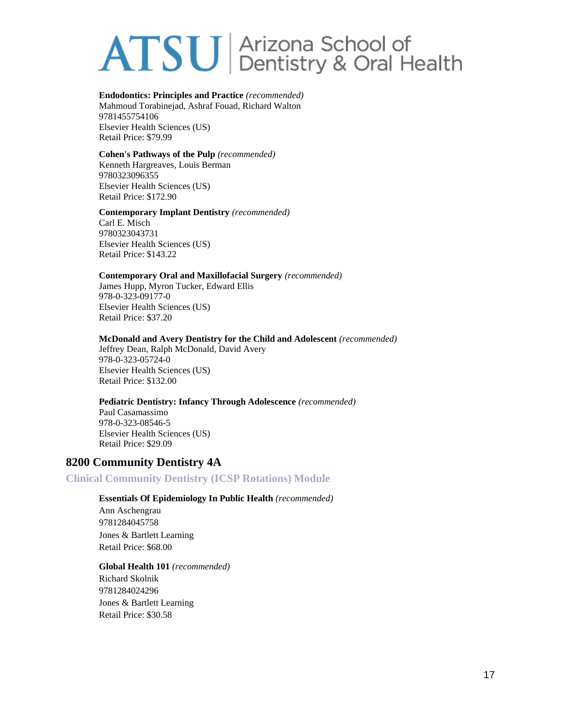## **Endodontics: Principles and Practice** *(recommended)*

Mahmoud Torabinejad, Ashraf Fouad, Richard Walton 9781455754106 Elsevier Health Sciences (US) Retail Price: \$79.99

### **Cohen's Pathways of the Pulp** *(recommended)*

Kenneth Hargreaves, Louis Berman 9780323096355 Elsevier Health Sciences (US) Retail Price: \$172.90

### **Contemporary Implant Dentistry** *(recommended)*

Carl E. Misch 9780323043731 Elsevier Health Sciences (US) Retail Price: \$143.22

#### **Contemporary Oral and Maxillofacial Surgery** *(recommended)*

James Hupp, Myron Tucker, Edward Ellis 978-0-323-09177-0 Elsevier Health Sciences (US) Retail Price: \$37.20

#### **McDonald and Avery Dentistry for the Child and Adolescent** *(recommended)*

Jeffrey Dean, Ralph McDonald, David Avery 978-0-323-05724-0 Elsevier Health Sciences (US) Retail Price: \$132.00

### **Pediatric Dentistry: Infancy Through Adolescence** *(recommended)*

Paul Casamassimo 978-0-323-08546-5 Elsevier Health Sciences (US) Retail Price: \$29.09

# **8200 Community Dentistry 4A**

# **Clinical Community Dentistry (ICSP Rotations) Module**

# **Essentials Of Epidemiology In Public Health** *(recommended)*

Ann Aschengrau 9781284045758 Jones & Bartlett Learning Retail Price: \$68.00

### **Global Health 101** *(recommended)*

Richard Skolnik 9781284024296 Jones & Bartlett Learning Retail Price: \$30.58